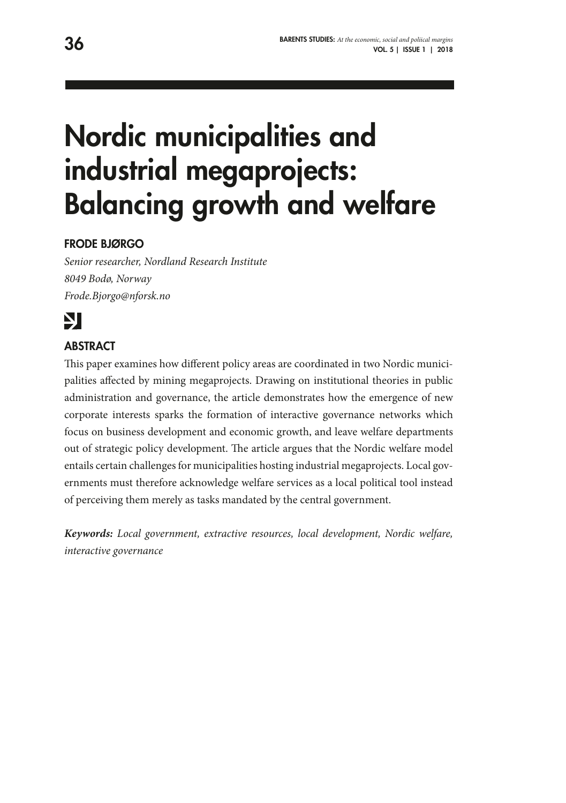# Nordic municipalities and industrial megaprojects: Balancing growth and welfare

## FRODE BJØRGO

*Senior researcher, Nordland Research Institute 8049 Bodø, Norway Frode.Bjorgo@nforsk.no*

# Ŋ

## **ABSTRACT**

This paper examines how different policy areas are coordinated in two Nordic municipalities affected by mining megaprojects. Drawing on institutional theories in public administration and governance, the article demonstrates how the emergence of new corporate interests sparks the formation of interactive governance networks which focus on business development and economic growth, and leave welfare departments out of strategic policy development. The article argues that the Nordic welfare model entails certain challenges for municipalities hosting industrial megaprojects. Local governments must therefore acknowledge welfare services as a local political tool instead of perceiving them merely as tasks mandated by the central government.

*Keywords: Local government, extractive resources, local development, Nordic welfare, interactive governance*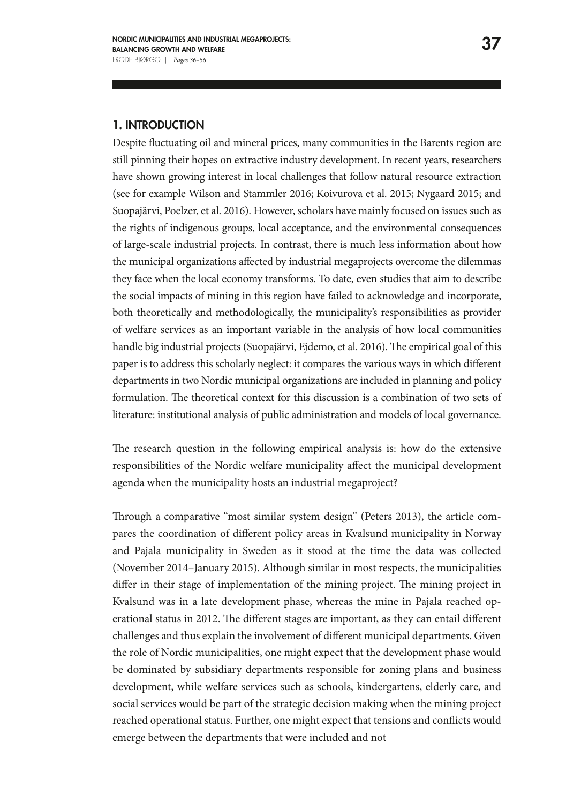#### 1. INTRODUCTION

Despite fluctuating oil and mineral prices, many communities in the Barents region are still pinning their hopes on extractive industry development. In recent years, researchers have shown growing interest in local challenges that follow natural resource extraction (see for example Wilson and Stammler 2016; Koivurova et al. 2015; Nygaard 2015; and Suopajärvi, Poelzer, et al. 2016). However, scholars have mainly focused on issues such as the rights of indigenous groups, local acceptance, and the environmental consequences of large-scale industrial projects. In contrast, there is much less information about how the municipal organizations affected by industrial megaprojects overcome the dilemmas they face when the local economy transforms. To date, even studies that aim to describe the social impacts of mining in this region have failed to acknowledge and incorporate, both theoretically and methodologically, the municipality's responsibilities as provider of welfare services as an important variable in the analysis of how local communities handle big industrial projects (Suopajärvi, Ejdemo, et al. 2016). The empirical goal of this paper is to address this scholarly neglect: it compares the various ways in which different departments in two Nordic municipal organizations are included in planning and policy formulation. The theoretical context for this discussion is a combination of two sets of literature: institutional analysis of public administration and models of local governance.

The research question in the following empirical analysis is: how do the extensive responsibilities of the Nordic welfare municipality affect the municipal development agenda when the municipality hosts an industrial megaproject?

Through a comparative "most similar system design" (Peters 2013), the article compares the coordination of different policy areas in Kvalsund municipality in Norway and Pajala municipality in Sweden as it stood at the time the data was collected (November 2014–January 2015). Although similar in most respects, the municipalities differ in their stage of implementation of the mining project. The mining project in Kvalsund was in a late development phase, whereas the mine in Pajala reached operational status in 2012. The different stages are important, as they can entail different challenges and thus explain the involvement of different municipal departments. Given the role of Nordic municipalities, one might expect that the development phase would be dominated by subsidiary departments responsible for zoning plans and business development, while welfare services such as schools, kindergartens, elderly care, and social services would be part of the strategic decision making when the mining project reached operational status. Further, one might expect that tensions and conflicts would emerge between the departments that were included and not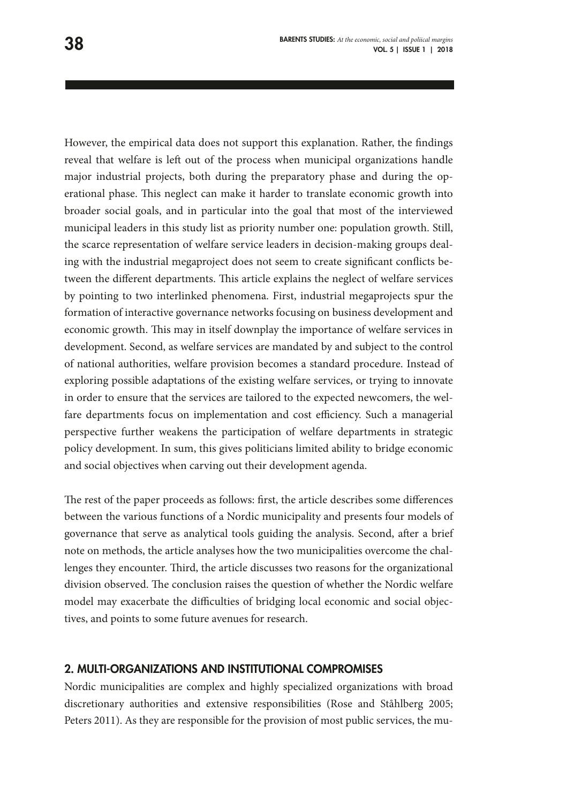However, the empirical data does not support this explanation. Rather, the findings reveal that welfare is left out of the process when municipal organizations handle major industrial projects, both during the preparatory phase and during the operational phase. This neglect can make it harder to translate economic growth into broader social goals, and in particular into the goal that most of the interviewed municipal leaders in this study list as priority number one: population growth. Still, the scarce representation of welfare service leaders in decision-making groups dealing with the industrial megaproject does not seem to create significant conflicts between the different departments. This article explains the neglect of welfare services by pointing to two interlinked phenomena. First, industrial megaprojects spur the formation of interactive governance networks focusing on business development and economic growth. This may in itself downplay the importance of welfare services in development. Second, as welfare services are mandated by and subject to the control of national authorities, welfare provision becomes a standard procedure. Instead of exploring possible adaptations of the existing welfare services, or trying to innovate in order to ensure that the services are tailored to the expected newcomers, the welfare departments focus on implementation and cost efficiency. Such a managerial perspective further weakens the participation of welfare departments in strategic policy development. In sum, this gives politicians limited ability to bridge economic and social objectives when carving out their development agenda.

The rest of the paper proceeds as follows: first, the article describes some differences between the various functions of a Nordic municipality and presents four models of governance that serve as analytical tools guiding the analysis. Second, after a brief note on methods, the article analyses how the two municipalities overcome the challenges they encounter. Third, the article discusses two reasons for the organizational division observed. The conclusion raises the question of whether the Nordic welfare model may exacerbate the difficulties of bridging local economic and social objectives, and points to some future avenues for research.

#### 2. MULTI-ORGANIZATIONS AND INSTITUTIONAL COMPROMISES

Nordic municipalities are complex and highly specialized organizations with broad discretionary authorities and extensive responsibilities (Rose and Ståhlberg 2005; Peters 2011). As they are responsible for the provision of most public services, the mu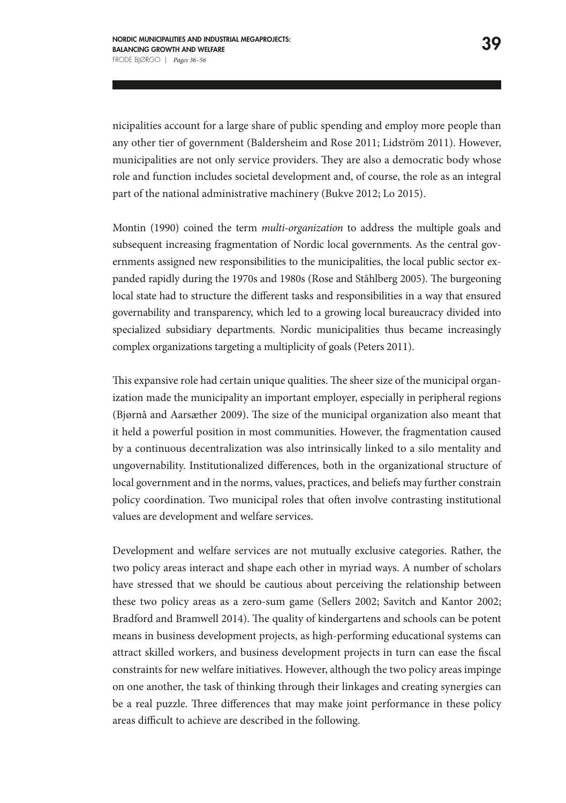nicipalities account for a large share of public spending and employ more people than any other tier of government (Baldersheim and Rose 2011; Lidström 2011). However, municipalities are not only service providers. They are also a democratic body whose role and function includes societal development and, of course, the role as an integral part of the national administrative machinery (Bukve 2012; Lo 2015).

Montin (1990) coined the term *multi-organization* to address the multiple goals and subsequent increasing fragmentation of Nordic local governments. As the central governments assigned new responsibilities to the municipalities, the local public sector expanded rapidly during the 1970s and 1980s (Rose and Ståhlberg 2005). The burgeoning local state had to structure the different tasks and responsibilities in a way that ensured governability and transparency, which led to a growing local bureaucracy divided into specialized subsidiary departments. Nordic municipalities thus became increasingly complex organizations targeting a multiplicity of goals (Peters 2011).

This expansive role had certain unique qualities. The sheer size of the municipal organization made the municipality an important employer, especially in peripheral regions (Bjørnå and Aarsæther 2009). The size of the municipal organization also meant that it held a powerful position in most communities. However, the fragmentation caused by a continuous decentralization was also intrinsically linked to a silo mentality and ungovernability. Institutionalized differences, both in the organizational structure of local government and in the norms, values, practices, and beliefs may further constrain policy coordination. Two municipal roles that often involve contrasting institutional values are development and welfare services.

Development and welfare services are not mutually exclusive categories. Rather, the two policy areas interact and shape each other in myriad ways. A number of scholars have stressed that we should be cautious about perceiving the relationship between these two policy areas as a zero-sum game (Sellers 2002; Savitch and Kantor 2002; Bradford and Bramwell 2014). The quality of kindergartens and schools can be potent means in business development projects, as high-performing educational systems can attract skilled workers, and business development projects in turn can ease the fiscal constraints for new welfare initiatives. However, although the two policy areas impinge on one another, the task of thinking through their linkages and creating synergies can be a real puzzle. Three differences that may make joint performance in these policy areas difficult to achieve are described in the following.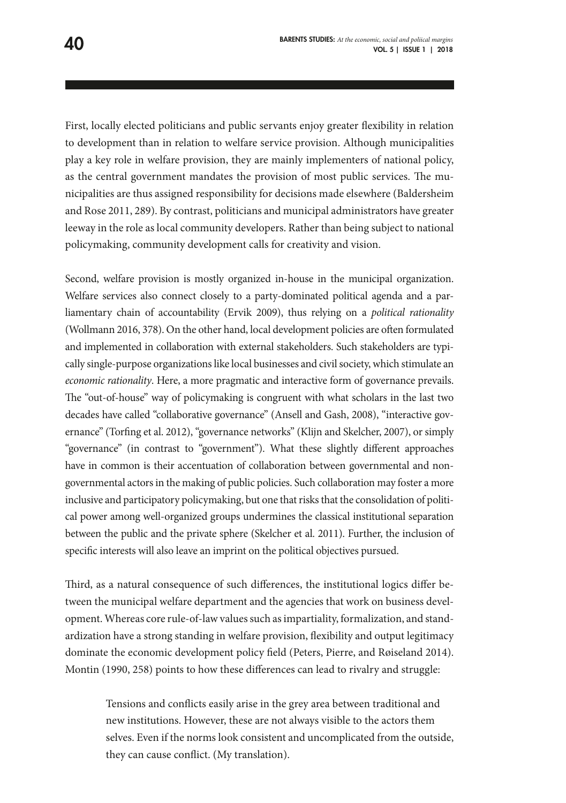First, locally elected politicians and public servants enjoy greater flexibility in relation to development than in relation to welfare service provision. Although municipalities play a key role in welfare provision, they are mainly implementers of national policy, as the central government mandates the provision of most public services. The municipalities are thus assigned responsibility for decisions made elsewhere (Baldersheim and Rose 2011, 289). By contrast, politicians and municipal administrators have greater leeway in the role as local community developers. Rather than being subject to national policymaking, community development calls for creativity and vision.

Second, welfare provision is mostly organized in-house in the municipal organization. Welfare services also connect closely to a party-dominated political agenda and a parliamentary chain of accountability (Ervik 2009), thus relying on a *political rationality*  (Wollmann 2016, 378). On the other hand, local development policies are often formulated and implemented in collaboration with external stakeholders. Such stakeholders are typically single-purpose organizations like local businesses and civil society, which stimulate an *economic rationality*. Here, a more pragmatic and interactive form of governance prevails. The "out-of-house" way of policymaking is congruent with what scholars in the last two decades have called "collaborative governance" (Ansell and Gash, 2008), "interactive governance" (Torfing et al. 2012), "governance networks" (Klijn and Skelcher, 2007), or simply "governance" (in contrast to "government"). What these slightly different approaches have in common is their accentuation of collaboration between governmental and nongovernmental actors in the making of public policies. Such collaboration may foster a more inclusive and participatory policymaking, but one that risks that the consolidation of political power among well-organized groups undermines the classical institutional separation between the public and the private sphere (Skelcher et al. 2011). Further, the inclusion of specific interests will also leave an imprint on the political objectives pursued.

Third, as a natural consequence of such differences, the institutional logics differ between the municipal welfare department and the agencies that work on business development. Whereas core rule-of-law values such as impartiality, formalization, and standardization have a strong standing in welfare provision, flexibility and output legitimacy dominate the economic development policy field (Peters, Pierre, and Røiseland 2014). Montin (1990, 258) points to how these differences can lead to rivalry and struggle:

> Tensions and conflicts easily arise in the grey area between traditional and new institutions. However, these are not always visible to the actors them selves. Even if the norms look consistent and uncomplicated from the outside, they can cause conflict. (My translation).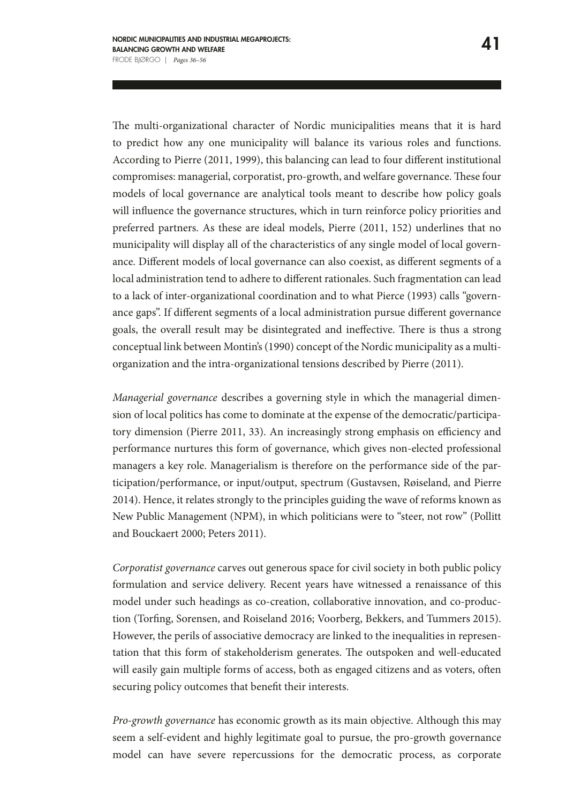The multi-organizational character of Nordic municipalities means that it is hard to predict how any one municipality will balance its various roles and functions. According to Pierre (2011, 1999), this balancing can lead to four different institutional compromises: managerial, corporatist, pro-growth, and welfare governance. These four models of local governance are analytical tools meant to describe how policy goals will influence the governance structures, which in turn reinforce policy priorities and preferred partners. As these are ideal models, Pierre (2011, 152) underlines that no municipality will display all of the characteristics of any single model of local governance. Different models of local governance can also coexist, as different segments of a local administration tend to adhere to different rationales. Such fragmentation can lead to a lack of inter-organizational coordination and to what Pierce (1993) calls "governance gaps". If different segments of a local administration pursue different governance goals, the overall result may be disintegrated and ineffective. There is thus a strong conceptual link between Montin's (1990) concept of the Nordic municipality as a multiorganization and the intra-organizational tensions described by Pierre (2011).

*Managerial governance* describes a governing style in which the managerial dimension of local politics has come to dominate at the expense of the democratic/participatory dimension (Pierre 2011, 33). An increasingly strong emphasis on efficiency and performance nurtures this form of governance, which gives non-elected professional managers a key role. Managerialism is therefore on the performance side of the participation/performance, or input/output, spectrum (Gustavsen, Røiseland, and Pierre 2014). Hence, it relates strongly to the principles guiding the wave of reforms known as New Public Management (NPM), in which politicians were to "steer, not row" (Pollitt and Bouckaert 2000; Peters 2011).

*Corporatist governance* carves out generous space for civil society in both public policy formulation and service delivery. Recent years have witnessed a renaissance of this model under such headings as co-creation, collaborative innovation, and co-production (Torfing, Sorensen, and Roiseland 2016; Voorberg, Bekkers, and Tummers 2015). However, the perils of associative democracy are linked to the inequalities in representation that this form of stakeholderism generates. The outspoken and well-educated will easily gain multiple forms of access, both as engaged citizens and as voters, often securing policy outcomes that benefit their interests.

*Pro-growth governance* has economic growth as its main objective. Although this may seem a self-evident and highly legitimate goal to pursue, the pro-growth governance model can have severe repercussions for the democratic process, as corporate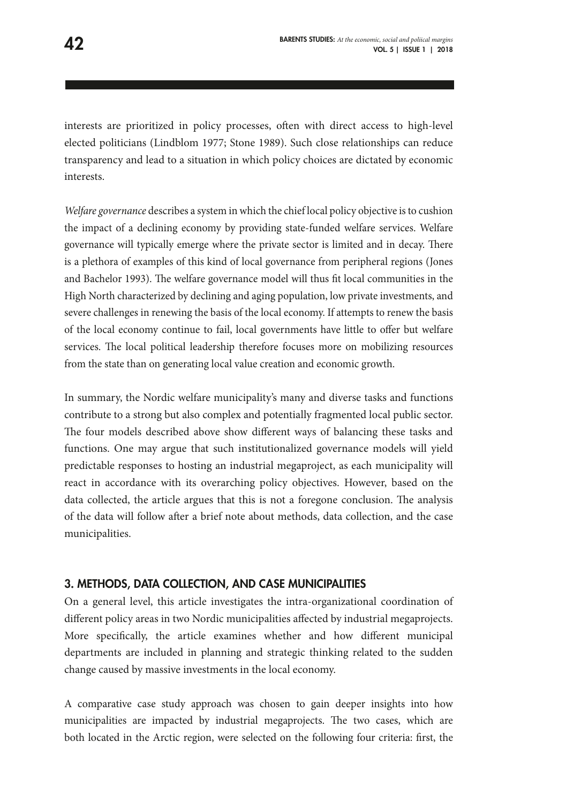interests are prioritized in policy processes, often with direct access to high-level elected politicians (Lindblom 1977; Stone 1989). Such close relationships can reduce transparency and lead to a situation in which policy choices are dictated by economic interests.

*Welfare governance* describes a system in which the chief local policy objective is to cushion the impact of a declining economy by providing state-funded welfare services. Welfare governance will typically emerge where the private sector is limited and in decay. There is a plethora of examples of this kind of local governance from peripheral regions (Jones and Bachelor 1993). The welfare governance model will thus fit local communities in the High North characterized by declining and aging population, low private investments, and severe challenges in renewing the basis of the local economy. If attempts to renew the basis of the local economy continue to fail, local governments have little to offer but welfare services. The local political leadership therefore focuses more on mobilizing resources from the state than on generating local value creation and economic growth.

In summary, the Nordic welfare municipality's many and diverse tasks and functions contribute to a strong but also complex and potentially fragmented local public sector. The four models described above show different ways of balancing these tasks and functions. One may argue that such institutionalized governance models will yield predictable responses to hosting an industrial megaproject, as each municipality will react in accordance with its overarching policy objectives. However, based on the data collected, the article argues that this is not a foregone conclusion. The analysis of the data will follow after a brief note about methods, data collection, and the case municipalities.

#### 3. METHODS, DATA COLLECTION, AND CASE MUNICIPALITIES

On a general level, this article investigates the intra-organizational coordination of different policy areas in two Nordic municipalities affected by industrial megaprojects. More specifically, the article examines whether and how different municipal departments are included in planning and strategic thinking related to the sudden change caused by massive investments in the local economy.

A comparative case study approach was chosen to gain deeper insights into how municipalities are impacted by industrial megaprojects. The two cases, which are both located in the Arctic region, were selected on the following four criteria: first, the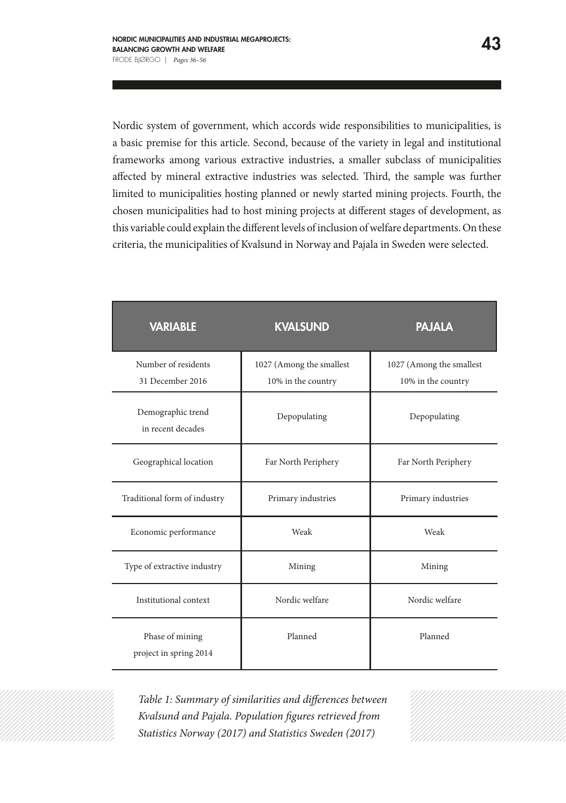Nordic system of government, which accords wide responsibilities to municipalities, is a basic premise for this article. Second, because of the variety in legal and institutional frameworks among various extractive industries, a smaller subclass of municipalities affected by mineral extractive industries was selected. Third, the sample was further limited to municipalities hosting planned or newly started mining projects. Fourth, the chosen municipalities had to host mining projects at different stages of development, as this variable could explain the different levels of inclusion of welfare departments. On these criteria, the municipalities of Kvalsund in Norway and Pajala in Sweden were selected.

| <b>VARIABLE</b>                           | <b>KVALSUND</b>                                | <b>PAJALA</b>                                  |
|-------------------------------------------|------------------------------------------------|------------------------------------------------|
| Number of residents<br>31 December 2016   | 1027 (Among the smallest<br>10% in the country | 1027 (Among the smallest<br>10% in the country |
| Demographic trend<br>in recent decades    | Depopulating                                   | Depopulating                                   |
| Geographical location                     | Far North Periphery                            | Far North Periphery                            |
| Traditional form of industry              | Primary industries                             | Primary industries                             |
| Economic performance                      | Weak                                           | Weak                                           |
| Type of extractive industry               | Mining                                         | Mining                                         |
| Institutional context                     | Nordic welfare                                 | Nordic welfare                                 |
| Phase of mining<br>project in spring 2014 | Planned                                        | Planned                                        |

*Table 1: Summary of similarities and differences between Kvalsund and Pajala. Population figures retrieved from Statistics Norway (2017) and Statistics Sweden (2017)*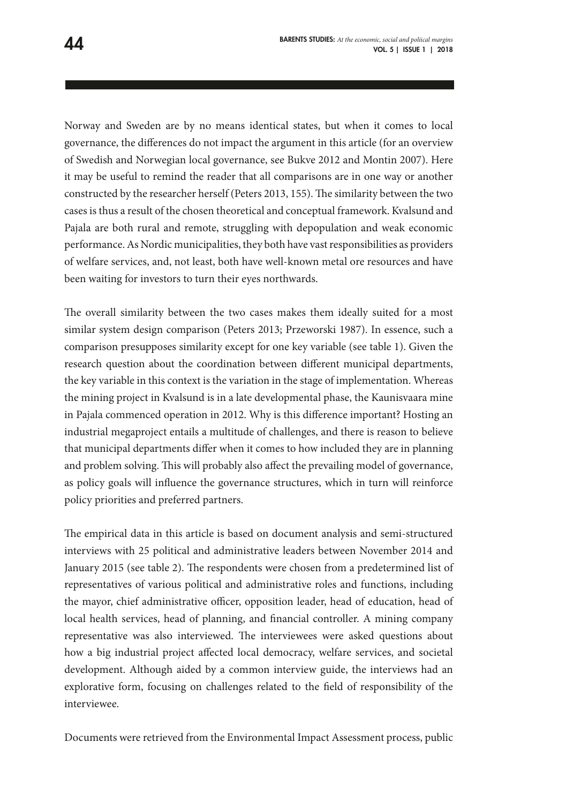Norway and Sweden are by no means identical states, but when it comes to local governance, the differences do not impact the argument in this article (for an overview of Swedish and Norwegian local governance, see Bukve 2012 and Montin 2007). Here it may be useful to remind the reader that all comparisons are in one way or another constructed by the researcher herself (Peters 2013, 155). The similarity between the two cases is thus a result of the chosen theoretical and conceptual framework. Kvalsund and Pajala are both rural and remote, struggling with depopulation and weak economic performance. As Nordic municipalities, they both have vast responsibilities as providers of welfare services, and, not least, both have well-known metal ore resources and have been waiting for investors to turn their eyes northwards.

The overall similarity between the two cases makes them ideally suited for a most similar system design comparison (Peters 2013; Przeworski 1987). In essence, such a comparison presupposes similarity except for one key variable (see table 1). Given the research question about the coordination between different municipal departments, the key variable in this context is the variation in the stage of implementation. Whereas the mining project in Kvalsund is in a late developmental phase, the Kaunisvaara mine in Pajala commenced operation in 2012. Why is this difference important? Hosting an industrial megaproject entails a multitude of challenges, and there is reason to believe that municipal departments differ when it comes to how included they are in planning and problem solving. This will probably also affect the prevailing model of governance, as policy goals will influence the governance structures, which in turn will reinforce policy priorities and preferred partners.

The empirical data in this article is based on document analysis and semi-structured interviews with 25 political and administrative leaders between November 2014 and January 2015 (see table 2). The respondents were chosen from a predetermined list of representatives of various political and administrative roles and functions, including the mayor, chief administrative officer, opposition leader, head of education, head of local health services, head of planning, and financial controller. A mining company representative was also interviewed. The interviewees were asked questions about how a big industrial project affected local democracy, welfare services, and societal development. Although aided by a common interview guide, the interviews had an explorative form, focusing on challenges related to the field of responsibility of the interviewee.

Documents were retrieved from the Environmental Impact Assessment process, public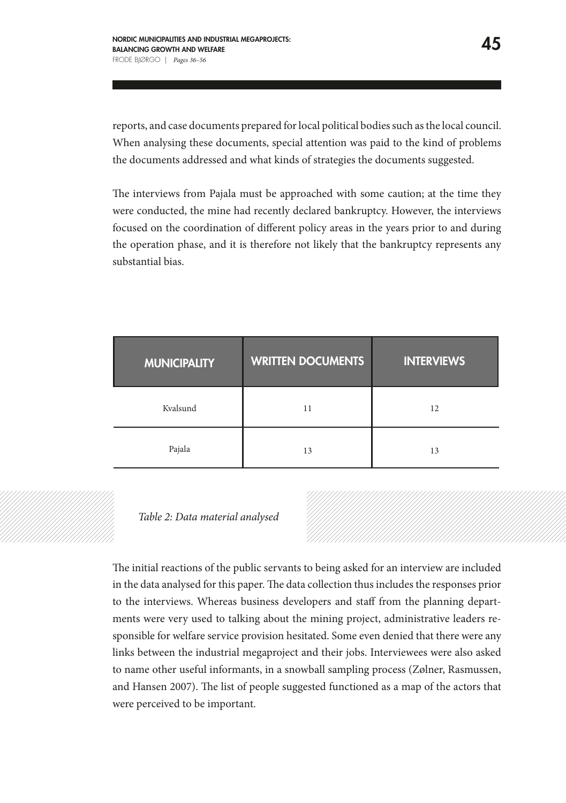reports, and case documents prepared for local political bodies such as the local council. When analysing these documents, special attention was paid to the kind of problems the documents addressed and what kinds of strategies the documents suggested.

The interviews from Pajala must be approached with some caution; at the time they were conducted, the mine had recently declared bankruptcy. However, the interviews focused on the coordination of different policy areas in the years prior to and during the operation phase, and it is therefore not likely that the bankruptcy represents any substantial bias.

| <b>MUNICIPALITY</b> | <b>WRITTEN DOCUMENTS</b> | <b>INTERVIEWS</b> |
|---------------------|--------------------------|-------------------|
| Kvalsund            | 11                       | 12                |
| Pajala              | 13                       | 13                |

#### *Table 2: Data material analysed*

The initial reactions of the public servants to being asked for an interview are included in the data analysed for this paper. The data collection thus includes the responses prior to the interviews. Whereas business developers and staff from the planning departments were very used to talking about the mining project, administrative leaders responsible for welfare service provision hesitated. Some even denied that there were any links between the industrial megaproject and their jobs. Interviewees were also asked to name other useful informants, in a snowball sampling process (Zølner, Rasmussen, and Hansen 2007). The list of people suggested functioned as a map of the actors that were perceived to be important.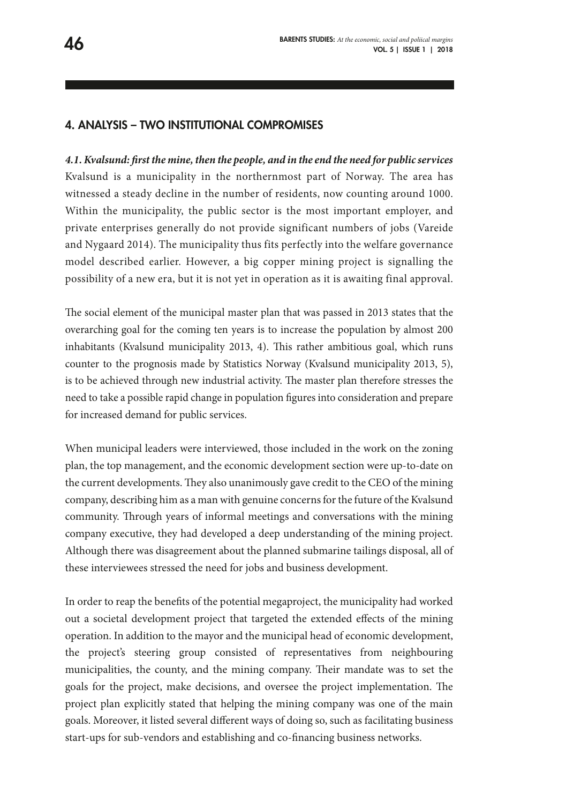#### 4. ANALYSIS – TWO INSTITUTIONAL COMPROMISES

*4.1. Kvalsund: first the mine, then the people, and in the end the need for public services* Kvalsund is a municipality in the northernmost part of Norway. The area has witnessed a steady decline in the number of residents, now counting around 1000. Within the municipality, the public sector is the most important employer, and private enterprises generally do not provide significant numbers of jobs (Vareide and Nygaard 2014). The municipality thus fits perfectly into the welfare governance model described earlier. However, a big copper mining project is signalling the possibility of a new era, but it is not yet in operation as it is awaiting final approval.

The social element of the municipal master plan that was passed in 2013 states that the overarching goal for the coming ten years is to increase the population by almost 200 inhabitants (Kvalsund municipality 2013, 4). This rather ambitious goal, which runs counter to the prognosis made by Statistics Norway (Kvalsund municipality 2013, 5), is to be achieved through new industrial activity. The master plan therefore stresses the need to take a possible rapid change in population figures into consideration and prepare for increased demand for public services.

When municipal leaders were interviewed, those included in the work on the zoning plan, the top management, and the economic development section were up-to-date on the current developments. They also unanimously gave credit to the CEO of the mining company, describing him as a man with genuine concerns for the future of the Kvalsund community. Through years of informal meetings and conversations with the mining company executive, they had developed a deep understanding of the mining project. Although there was disagreement about the planned submarine tailings disposal, all of these interviewees stressed the need for jobs and business development.

In order to reap the benefits of the potential megaproject, the municipality had worked out a societal development project that targeted the extended effects of the mining operation. In addition to the mayor and the municipal head of economic development, the project's steering group consisted of representatives from neighbouring municipalities, the county, and the mining company. Their mandate was to set the goals for the project, make decisions, and oversee the project implementation. The project plan explicitly stated that helping the mining company was one of the main goals. Moreover, it listed several different ways of doing so, such as facilitating business start-ups for sub-vendors and establishing and co-financing business networks.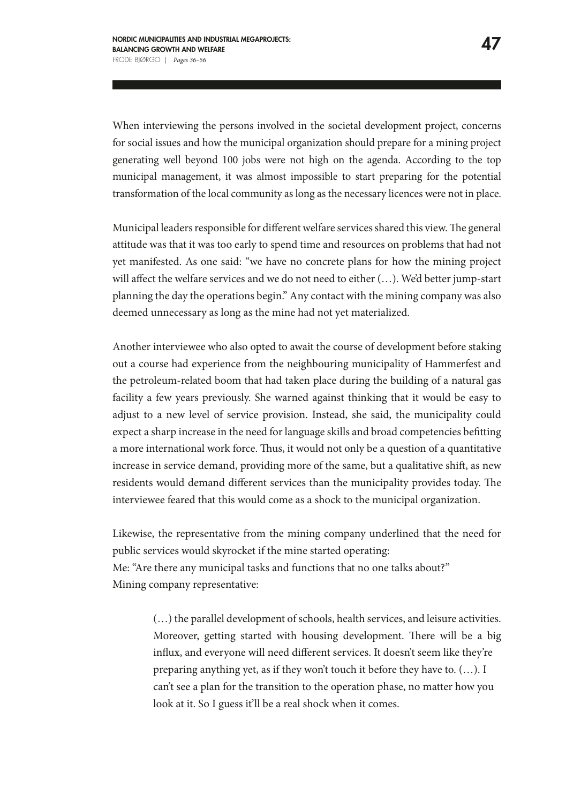When interviewing the persons involved in the societal development project, concerns for social issues and how the municipal organization should prepare for a mining project generating well beyond 100 jobs were not high on the agenda. According to the top municipal management, it was almost impossible to start preparing for the potential transformation of the local community as long as the necessary licences were not in place.

Municipal leaders responsible for different welfare services shared this view. The general attitude was that it was too early to spend time and resources on problems that had not yet manifested. As one said: "we have no concrete plans for how the mining project will affect the welfare services and we do not need to either (…). We'd better jump-start planning the day the operations begin." Any contact with the mining company was also deemed unnecessary as long as the mine had not yet materialized.

Another interviewee who also opted to await the course of development before staking out a course had experience from the neighbouring municipality of Hammerfest and the petroleum-related boom that had taken place during the building of a natural gas facility a few years previously. She warned against thinking that it would be easy to adjust to a new level of service provision. Instead, she said, the municipality could expect a sharp increase in the need for language skills and broad competencies befitting a more international work force. Thus, it would not only be a question of a quantitative increase in service demand, providing more of the same, but a qualitative shift, as new residents would demand different services than the municipality provides today. The interviewee feared that this would come as a shock to the municipal organization.

Likewise, the representative from the mining company underlined that the need for public services would skyrocket if the mine started operating: Me: "Are there any municipal tasks and functions that no one talks about?" Mining company representative:

> (…) the parallel development of schools, health services, and leisure activities. Moreover, getting started with housing development. There will be a big influx, and everyone will need different services. It doesn't seem like they're preparing anything yet, as if they won't touch it before they have to. (…). I can't see a plan for the transition to the operation phase, no matter how you look at it. So I guess it'll be a real shock when it comes.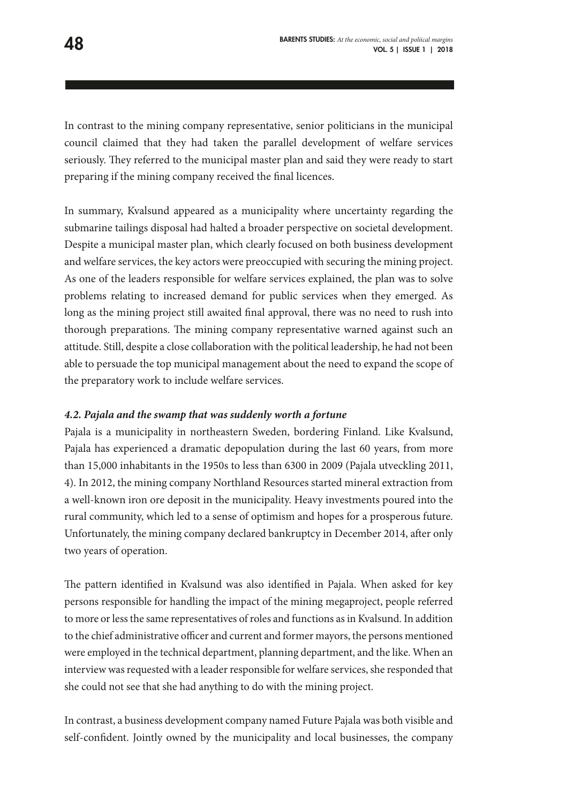In contrast to the mining company representative, senior politicians in the municipal council claimed that they had taken the parallel development of welfare services seriously. They referred to the municipal master plan and said they were ready to start preparing if the mining company received the final licences.

In summary, Kvalsund appeared as a municipality where uncertainty regarding the submarine tailings disposal had halted a broader perspective on societal development. Despite a municipal master plan, which clearly focused on both business development and welfare services, the key actors were preoccupied with securing the mining project. As one of the leaders responsible for welfare services explained, the plan was to solve problems relating to increased demand for public services when they emerged. As long as the mining project still awaited final approval, there was no need to rush into thorough preparations. The mining company representative warned against such an attitude. Still, despite a close collaboration with the political leadership, he had not been able to persuade the top municipal management about the need to expand the scope of the preparatory work to include welfare services.

#### *4.2. Pajala and the swamp that was suddenly worth a fortune*

Pajala is a municipality in northeastern Sweden, bordering Finland. Like Kvalsund, Pajala has experienced a dramatic depopulation during the last 60 years, from more than 15,000 inhabitants in the 1950s to less than 6300 in 2009 (Pajala utveckling 2011, 4). In 2012, the mining company Northland Resources started mineral extraction from a well-known iron ore deposit in the municipality. Heavy investments poured into the rural community, which led to a sense of optimism and hopes for a prosperous future. Unfortunately, the mining company declared bankruptcy in December 2014, after only two years of operation.

The pattern identified in Kvalsund was also identified in Pajala. When asked for key persons responsible for handling the impact of the mining megaproject, people referred to more or less the same representatives of roles and functions as in Kvalsund. In addition to the chief administrative officer and current and former mayors, the persons mentioned were employed in the technical department, planning department, and the like. When an interview was requested with a leader responsible for welfare services, she responded that she could not see that she had anything to do with the mining project.

In contrast, a business development company named Future Pajala was both visible and self-confident. Jointly owned by the municipality and local businesses, the company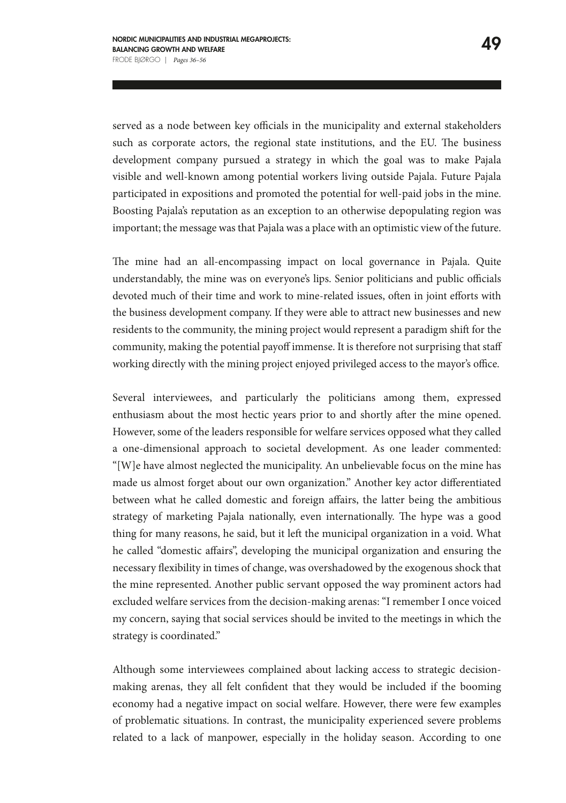served as a node between key officials in the municipality and external stakeholders such as corporate actors, the regional state institutions, and the EU. The business development company pursued a strategy in which the goal was to make Pajala visible and well-known among potential workers living outside Pajala. Future Pajala participated in expositions and promoted the potential for well-paid jobs in the mine. Boosting Pajala's reputation as an exception to an otherwise depopulating region was important; the message was that Pajala was a place with an optimistic view of the future.

The mine had an all-encompassing impact on local governance in Pajala. Quite understandably, the mine was on everyone's lips. Senior politicians and public officials devoted much of their time and work to mine-related issues, often in joint efforts with the business development company. If they were able to attract new businesses and new residents to the community, the mining project would represent a paradigm shift for the community, making the potential payoff immense. It is therefore not surprising that staff working directly with the mining project enjoyed privileged access to the mayor's office.

Several interviewees, and particularly the politicians among them, expressed enthusiasm about the most hectic years prior to and shortly after the mine opened. However, some of the leaders responsible for welfare services opposed what they called a one-dimensional approach to societal development. As one leader commented: "[W]e have almost neglected the municipality. An unbelievable focus on the mine has made us almost forget about our own organization." Another key actor differentiated between what he called domestic and foreign affairs, the latter being the ambitious strategy of marketing Pajala nationally, even internationally. The hype was a good thing for many reasons, he said, but it left the municipal organization in a void. What he called "domestic affairs", developing the municipal organization and ensuring the necessary flexibility in times of change, was overshadowed by the exogenous shock that the mine represented. Another public servant opposed the way prominent actors had excluded welfare services from the decision-making arenas: "I remember I once voiced my concern, saying that social services should be invited to the meetings in which the strategy is coordinated."

Although some interviewees complained about lacking access to strategic decisionmaking arenas, they all felt confident that they would be included if the booming economy had a negative impact on social welfare. However, there were few examples of problematic situations. In contrast, the municipality experienced severe problems related to a lack of manpower, especially in the holiday season. According to one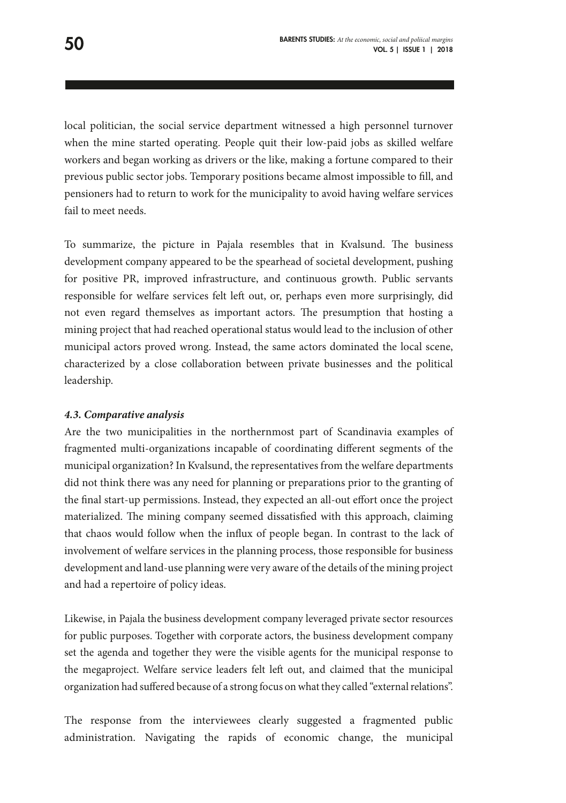local politician, the social service department witnessed a high personnel turnover when the mine started operating. People quit their low-paid jobs as skilled welfare workers and began working as drivers or the like, making a fortune compared to their previous public sector jobs. Temporary positions became almost impossible to fill, and pensioners had to return to work for the municipality to avoid having welfare services fail to meet needs.

To summarize, the picture in Pajala resembles that in Kvalsund. The business development company appeared to be the spearhead of societal development, pushing for positive PR, improved infrastructure, and continuous growth. Public servants responsible for welfare services felt left out, or, perhaps even more surprisingly, did not even regard themselves as important actors. The presumption that hosting a mining project that had reached operational status would lead to the inclusion of other municipal actors proved wrong. Instead, the same actors dominated the local scene, characterized by a close collaboration between private businesses and the political leadership.

#### *4.3. Comparative analysis*

Are the two municipalities in the northernmost part of Scandinavia examples of fragmented multi-organizations incapable of coordinating different segments of the municipal organization? In Kvalsund, the representatives from the welfare departments did not think there was any need for planning or preparations prior to the granting of the final start-up permissions. Instead, they expected an all-out effort once the project materialized. The mining company seemed dissatisfied with this approach, claiming that chaos would follow when the influx of people began. In contrast to the lack of involvement of welfare services in the planning process, those responsible for business development and land-use planning were very aware of the details of the mining project and had a repertoire of policy ideas.

Likewise, in Pajala the business development company leveraged private sector resources for public purposes. Together with corporate actors, the business development company set the agenda and together they were the visible agents for the municipal response to the megaproject. Welfare service leaders felt left out, and claimed that the municipal organization had suffered because of a strong focus on what they called "external relations".

The response from the interviewees clearly suggested a fragmented public administration. Navigating the rapids of economic change, the municipal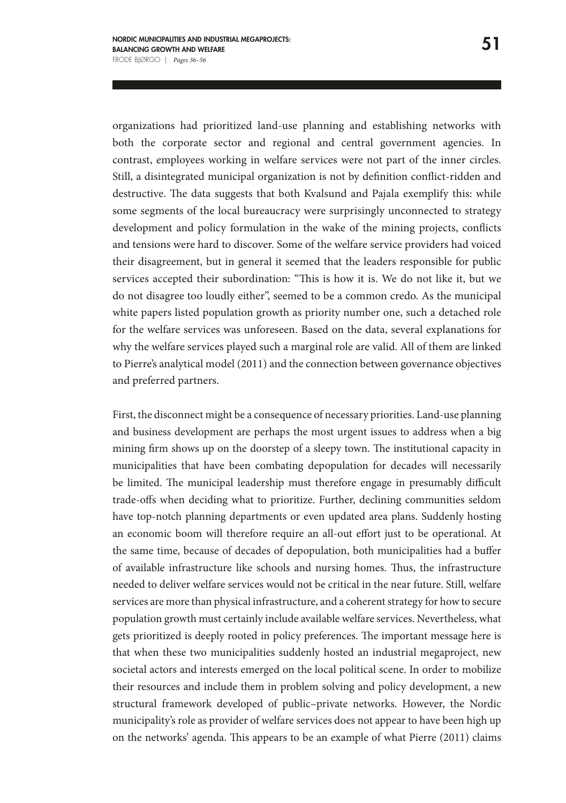organizations had prioritized land-use planning and establishing networks with both the corporate sector and regional and central government agencies. In contrast, employees working in welfare services were not part of the inner circles. Still, a disintegrated municipal organization is not by definition conflict-ridden and destructive. The data suggests that both Kvalsund and Pajala exemplify this: while some segments of the local bureaucracy were surprisingly unconnected to strategy development and policy formulation in the wake of the mining projects, conflicts and tensions were hard to discover. Some of the welfare service providers had voiced their disagreement, but in general it seemed that the leaders responsible for public services accepted their subordination: "This is how it is. We do not like it, but we do not disagree too loudly either", seemed to be a common credo. As the municipal white papers listed population growth as priority number one, such a detached role for the welfare services was unforeseen. Based on the data, several explanations for why the welfare services played such a marginal role are valid. All of them are linked to Pierre's analytical model (2011) and the connection between governance objectives and preferred partners.

First, the disconnect might be a consequence of necessary priorities. Land-use planning and business development are perhaps the most urgent issues to address when a big mining firm shows up on the doorstep of a sleepy town. The institutional capacity in municipalities that have been combating depopulation for decades will necessarily be limited. The municipal leadership must therefore engage in presumably difficult trade-offs when deciding what to prioritize. Further, declining communities seldom have top-notch planning departments or even updated area plans. Suddenly hosting an economic boom will therefore require an all-out effort just to be operational. At the same time, because of decades of depopulation, both municipalities had a buffer of available infrastructure like schools and nursing homes. Thus, the infrastructure needed to deliver welfare services would not be critical in the near future. Still, welfare services are more than physical infrastructure, and a coherent strategy for how to secure population growth must certainly include available welfare services. Nevertheless, what gets prioritized is deeply rooted in policy preferences. The important message here is that when these two municipalities suddenly hosted an industrial megaproject, new societal actors and interests emerged on the local political scene. In order to mobilize their resources and include them in problem solving and policy development, a new structural framework developed of public–private networks. However, the Nordic municipality's role as provider of welfare services does not appear to have been high up on the networks' agenda. This appears to be an example of what Pierre (2011) claims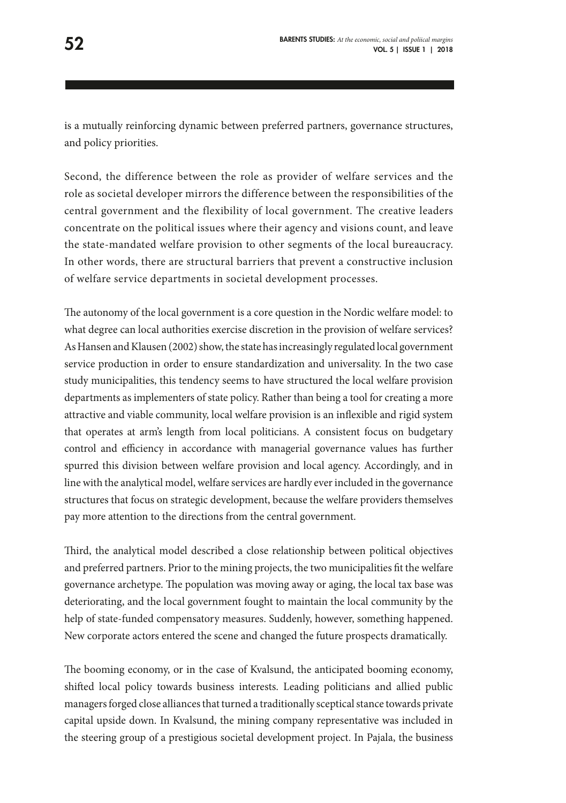is a mutually reinforcing dynamic between preferred partners, governance structures, and policy priorities.

Second, the difference between the role as provider of welfare services and the role as societal developer mirrors the difference between the responsibilities of the central government and the flexibility of local government. The creative leaders concentrate on the political issues where their agency and visions count, and leave the state-mandated welfare provision to other segments of the local bureaucracy. In other words, there are structural barriers that prevent a constructive inclusion of welfare service departments in societal development processes.

The autonomy of the local government is a core question in the Nordic welfare model: to what degree can local authorities exercise discretion in the provision of welfare services? As Hansen and Klausen (2002) show, the state has increasingly regulated local government service production in order to ensure standardization and universality. In the two case study municipalities, this tendency seems to have structured the local welfare provision departments as implementers of state policy. Rather than being a tool for creating a more attractive and viable community, local welfare provision is an inflexible and rigid system that operates at arm's length from local politicians. A consistent focus on budgetary control and efficiency in accordance with managerial governance values has further spurred this division between welfare provision and local agency. Accordingly, and in line with the analytical model, welfare services are hardly ever included in the governance structures that focus on strategic development, because the welfare providers themselves pay more attention to the directions from the central government.

Third, the analytical model described a close relationship between political objectives and preferred partners. Prior to the mining projects, the two municipalities fit the welfare governance archetype. The population was moving away or aging, the local tax base was deteriorating, and the local government fought to maintain the local community by the help of state-funded compensatory measures. Suddenly, however, something happened. New corporate actors entered the scene and changed the future prospects dramatically.

The booming economy, or in the case of Kvalsund, the anticipated booming economy, shifted local policy towards business interests. Leading politicians and allied public managers forged close alliances that turned a traditionally sceptical stance towards private capital upside down. In Kvalsund, the mining company representative was included in the steering group of a prestigious societal development project. In Pajala, the business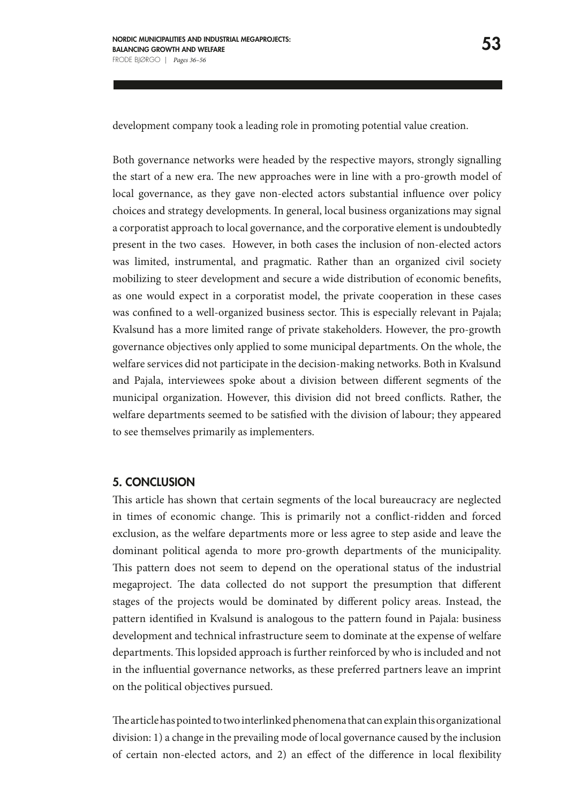development company took a leading role in promoting potential value creation.

Both governance networks were headed by the respective mayors, strongly signalling the start of a new era. The new approaches were in line with a pro-growth model of local governance, as they gave non-elected actors substantial influence over policy choices and strategy developments. In general, local business organizations may signal a corporatist approach to local governance, and the corporative element is undoubtedly present in the two cases. However, in both cases the inclusion of non-elected actors was limited, instrumental, and pragmatic. Rather than an organized civil society mobilizing to steer development and secure a wide distribution of economic benefits, as one would expect in a corporatist model, the private cooperation in these cases was confined to a well-organized business sector. This is especially relevant in Pajala; Kvalsund has a more limited range of private stakeholders. However, the pro-growth governance objectives only applied to some municipal departments. On the whole, the welfare services did not participate in the decision-making networks. Both in Kvalsund and Pajala, interviewees spoke about a division between different segments of the municipal organization. However, this division did not breed conflicts. Rather, the welfare departments seemed to be satisfied with the division of labour; they appeared to see themselves primarily as implementers.

#### 5. CONCLUSION

This article has shown that certain segments of the local bureaucracy are neglected in times of economic change. This is primarily not a conflict-ridden and forced exclusion, as the welfare departments more or less agree to step aside and leave the dominant political agenda to more pro-growth departments of the municipality. This pattern does not seem to depend on the operational status of the industrial megaproject. The data collected do not support the presumption that different stages of the projects would be dominated by different policy areas. Instead, the pattern identified in Kvalsund is analogous to the pattern found in Pajala: business development and technical infrastructure seem to dominate at the expense of welfare departments. This lopsided approach is further reinforced by who is included and not in the influential governance networks, as these preferred partners leave an imprint on the political objectives pursued.

The article has pointed to two interlinked phenomena that can explain this organizational division: 1) a change in the prevailing mode of local governance caused by the inclusion of certain non-elected actors, and 2) an effect of the difference in local flexibility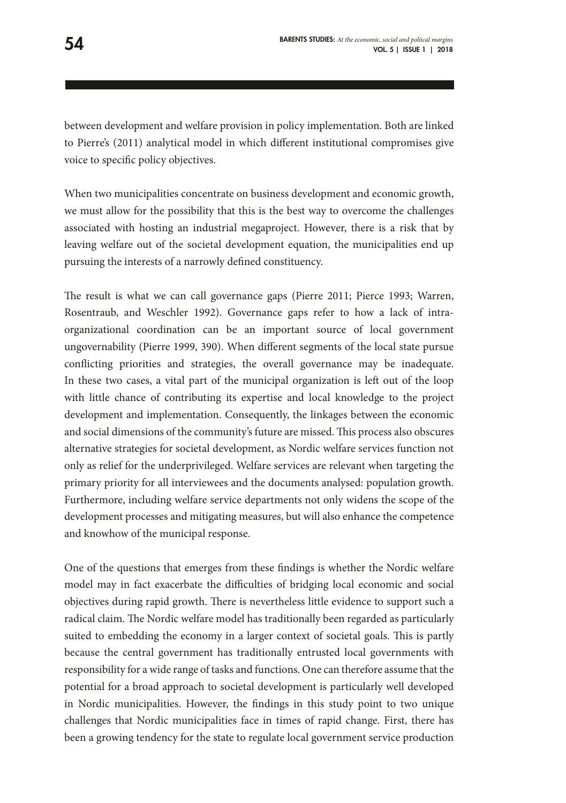between development and welfare provision in policy implementation. Both are linked to Pierre's (2011) analytical model in which different institutional compromises give voice to specific policy objectives.

When two municipalities concentrate on business development and economic growth, we must allow for the possibility that this is the best way to overcome the challenges associated with hosting an industrial megaproject. However, there is a risk that by leaving welfare out of the societal development equation, the municipalities end up pursuing the interests of a narrowly defined constituency.

The result is what we can call governance gaps (Pierre 2011; Pierce 1993; Warren, Rosentraub, and Weschler 1992). Governance gaps refer to how a lack of intraorganizational coordination can be an important source of local government ungovernability (Pierre 1999, 390). When different segments of the local state pursue conflicting priorities and strategies, the overall governance may be inadequate. In these two cases, a vital part of the municipal organization is left out of the loop with little chance of contributing its expertise and local knowledge to the project development and implementation. Consequently, the linkages between the economic and social dimensions of the community's future are missed. This process also obscures alternative strategies for societal development, as Nordic welfare services function not only as relief for the underprivileged. Welfare services are relevant when targeting the primary priority for all interviewees and the documents analysed: population growth. Furthermore, including welfare service departments not only widens the scope of the development processes and mitigating measures, but will also enhance the competence and knowhow of the municipal response.

One of the questions that emerges from these findings is whether the Nordic welfare model may in fact exacerbate the difficulties of bridging local economic and social objectives during rapid growth. There is nevertheless little evidence to support such a radical claim. The Nordic welfare model has traditionally been regarded as particularly suited to embedding the economy in a larger context of societal goals. This is partly because the central government has traditionally entrusted local governments with responsibility for a wide range of tasks and functions. One can therefore assume that the potential for a broad approach to societal development is particularly well developed in Nordic municipalities. However, the findings in this study point to two unique challenges that Nordic municipalities face in times of rapid change. First, there has been a growing tendency for the state to regulate local government service production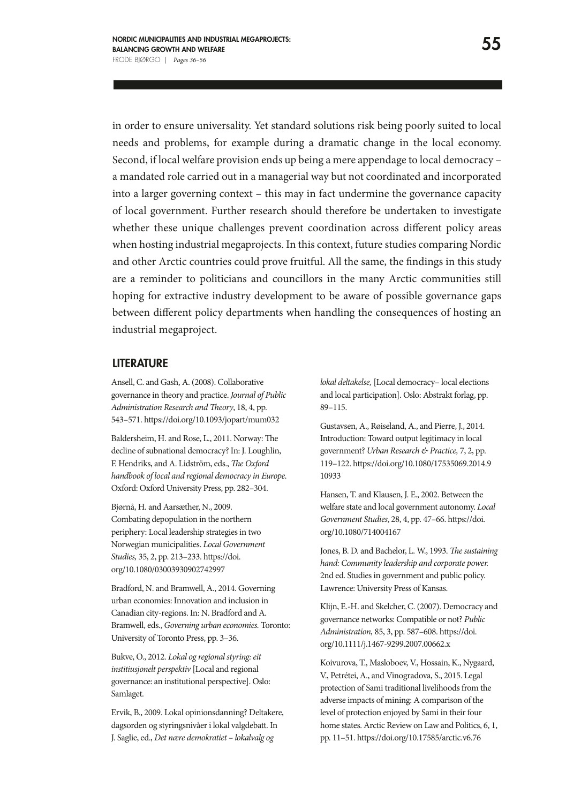in order to ensure universality. Yet standard solutions risk being poorly suited to local needs and problems, for example during a dramatic change in the local economy. Second, if local welfare provision ends up being a mere appendage to local democracy – a mandated role carried out in a managerial way but not coordinated and incorporated into a larger governing context – this may in fact undermine the governance capacity of local government. Further research should therefore be undertaken to investigate whether these unique challenges prevent coordination across different policy areas when hosting industrial megaprojects. In this context, future studies comparing Nordic and other Arctic countries could prove fruitful. All the same, the findings in this study are a reminder to politicians and councillors in the many Arctic communities still hoping for extractive industry development to be aware of possible governance gaps between different policy departments when handling the consequences of hosting an industrial megaproject.

#### LITERATURE

Ansell, C. and Gash, A. (2008). Collaborative governance in theory and practice. *Journal of Public Administration Research and Theory*, 18, 4, pp. 543–571. https://doi.org/10.1093/jopart/mum032

Baldersheim, H. and Rose, L., 2011. Norway: The decline of subnational democracy? In: J. Loughlin, F. Hendriks, and A. Lidström, eds., *The Oxford handbook of local and regional democracy in Europe.* Oxford: Oxford University Press, pp. 282–304.

Bjørnå, H. and Aarsæther, N., 2009. Combating depopulation in the northern periphery: Local leadership strategies in two Norwegian municipalities. *Local Government Studies,* 35, 2, pp. 213–233. https://doi. org/10.1080/03003930902742997

Bradford, N. and Bramwell, A., 2014. Governing urban economies: Innovation and inclusion in Canadian city-regions. In: N. Bradford and A. Bramwell, eds., *Governing urban economies.* Toronto: University of Toronto Press, pp. 3–36.

Bukve, O., 2012. *Lokal og regional styring: eit institiusjonelt perspektiv* [Local and regional governance: an institutional perspective]. Oslo: Samlaget.

Ervik, B., 2009. Lokal opinionsdanning? Deltakere, dagsorden og styringsnivåer i lokal valgdebatt. In J. Saglie, ed., *Det nære demokratiet – lokalvalg og* 

*lokal deltakelse,* [Local democracy– local elections and local participation]. Oslo: Abstrakt forlag, pp. 89–115.

Gustavsen, A., Røiseland, A., and Pierre, J., 2014. Introduction: Toward output legitimacy in local government? *Urban Research & Practice,* 7, 2, pp. 119–122. https://doi.org/10.1080/17535069.2014.9 10933

Hansen, T. and Klausen, J. E., 2002. Between the welfare state and local government autonomy. *Local Government Studies*, 28, 4, pp. 47–66. https://doi. org/10.1080/714004167

Jones, B. D. and Bachelor, L. W., 1993. *The sustaining hand: Community leadership and corporate power.*  2nd ed. Studies in government and public policy. Lawrence: University Press of Kansas.

Klijn, E.-H. and Skelcher, C. (2007). Democracy and governance networks: Compatible or not? *Public Administration,* 85, 3, pp. 587–608. https://doi. org/10.1111/j.1467-9299.2007.00662.x

Koivurova, T., Masloboev, V., Hossain, K., Nygaard, V., Petrétei, A., and Vinogradova, S., 2015. Legal protection of Sami traditional livelihoods from the adverse impacts of mining: A comparison of the level of protection enjoyed by Sami in their four home states. Arctic Review on Law and Politics, 6, 1, pp. 11–51. https://doi.org/10.17585/arctic.v6.76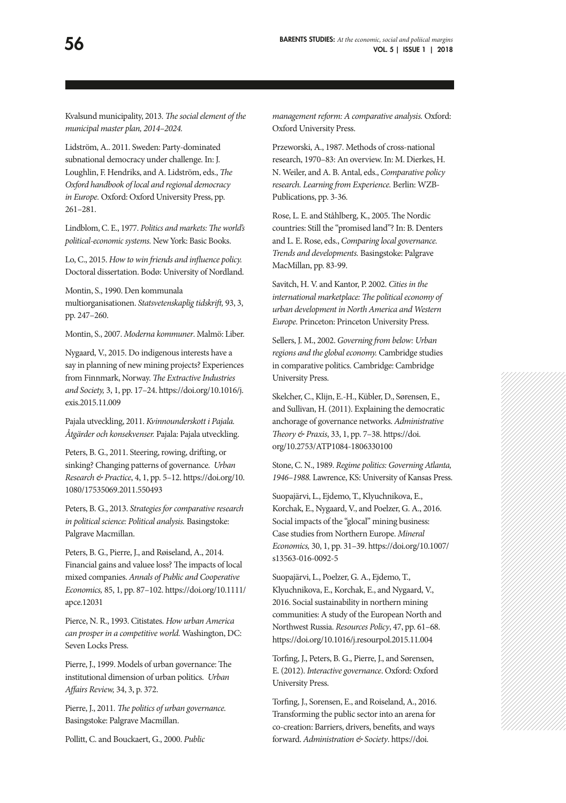Kvalsund municipality, 2013. *The social element of the municipal master plan, 2014–2024.* 

Lidström, A.. 2011. Sweden: Party-dominated subnational democracy under challenge. In: J. Loughlin, F. Hendriks, and A. Lidström, eds., *The Oxford handbook of local and regional democracy in Europe.* Oxford: Oxford University Press, pp. 261–281.

Lindblom, C. E., 1977. *Politics and markets: The world's political-economic systems.* New York: Basic Books.

Lo, C., 2015. *How to win friends and influence policy.* Doctoral dissertation. Bodø: University of Nordland.

Montin, S., 1990. Den kommunala multiorganisationen. *Statsvetenskaplig tidskrift,* 93, 3, pp. 247–260.

Montin, S., 2007. *Moderna kommuner*. Malmö: Liber.

Nygaard, V., 2015. Do indigenous interests have a say in planning of new mining projects? Experiences from Finnmark, Norway. *The Extractive Industries and Society,* 3, 1, pp. 17–24. https://doi.org/10.1016/j. exis.2015.11.009

Pajala utveckling, 2011. *Kvinnounderskott i Pajala. Åtgärder och konsekvenser.* Pajala: Pajala utveckling.

Peters, B. G., 2011. Steering, rowing, drifting, or sinking? Changing patterns of governance. *Urban Research & Practice*, 4, 1, pp. 5–12. https://doi.org/10. 1080/17535069.2011.550493

Peters, B. G., 2013. *Strategies for comparative research in political science: Political analysis.* Basingstoke: Palgrave Macmillan.

Peters, B. G., Pierre, J., and Røiseland, A., 2014. Financial gains and valuee loss? The impacts of local mixed companies. *Annals of Public and Cooperative Economics,* 85, 1, pp. 87–102. https://doi.org/10.1111/ apce.12031

Pierce, N. R., 1993. Citistates. *How urban America can prosper in a competitive world.* Washington, DC: Seven Locks Press.

Pierre, J., 1999. Models of urban governance: The institutional dimension of urban politics. *Urban Affairs Review,* 34, 3, p. 372.

Pierre, J., 2011*. The politics of urban governance.*  Basingstoke: Palgrave Macmillan.

Pollitt, C. and Bouckaert, G., 2000. *Public* 

*management reform: A comparative analysis.* Oxford: Oxford University Press.

Przeworski, A., 1987. Methods of cross-national research, 1970–83: An overview. In: M. Dierkes, H. N. Weiler, and A. B. Antal, eds., *Comparative policy research. Learning from Experience.* Berlin: WZB-Publications, pp. 3-36.

Rose, L. E. and Ståhlberg, K., 2005. The Nordic countries: Still the "promised land"? In: B. Denters and L. E. Rose, eds., *Comparing local governance. Trends and developments.* Basingstoke: Palgrave MacMillan, pp. 83-99.

Savitch, H. V. and Kantor, P. 2002. *Cities in the international marketplace: The political economy of urban development in North America and Western Europe.* Princeton: Princeton University Press.

Sellers, J. M., 2002. *Governing from below: Urban regions and the global economy.* Cambridge studies in comparative politics. Cambridge: Cambridge University Press.

Skelcher, C., Klijn, E.-H., Kübler, D., Sørensen, E., and Sullivan, H. (2011). Explaining the democratic anchorage of governance networks. *Administrative Theory & Praxis*, 33, 1, pp. 7–38. https://doi. org/10.2753/ATP1084-1806330100

Stone, C. N., 1989. *Regime politics: Governing Atlanta, 1946–1988.* Lawrence, KS: University of Kansas Press.

Suopajärvi, L., Ejdemo, T., Klyuchnikova, E., Korchak, E., Nygaard, V., and Poelzer, G. A., 2016. Social impacts of the "glocal" mining business: Case studies from Northern Europe. *Mineral Economics,* 30, 1, pp. 31–39. https://doi.org/10.1007/ s13563-016-0092-5

Suopajärvi, L., Poelzer, G. A., Ejdemo, T., Klyuchnikova, E., Korchak, E., and Nygaard, V., 2016. Social sustainability in northern mining communities: A study of the European North and Northwest Russia. *Resources Policy*, 47, pp. 61–68. https://doi.org/10.1016/j.resourpol.2015.11.004

Torfing, J., Peters, B. G., Pierre, J., and Sørensen, E. (2012). *Interactive governance*. Oxford: Oxford University Press.

Torfing, J., Sorensen, E., and Roiseland, A., 2016. Transforming the public sector into an arena for co-creation: Barriers, drivers, benefits, and ways forward. *Administration & Society*. https://doi.